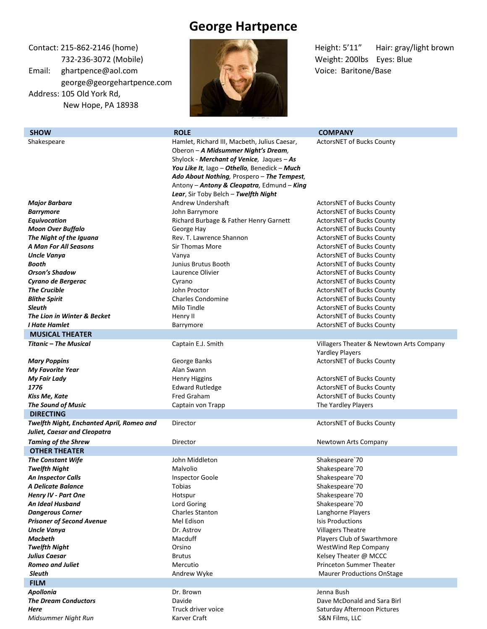## **George Hartpence**

Email: ghartpence@aol.com Voice: Baritone/Base george@georgehartpence.com Address: 105 Old York Rd, New Hope, PA 18938



**SHOW ROLE COMPANY ROLE COMPANY COMPANY** 

Contact: 215-862-2146 (home) **Height: 5'11''** Hair: gray/light brown

Shakespeare Hamlet, Richard III, Macbeth, Julius Caesar, Oberon – *A Midsummer Night's Dream,*  Shylock - *Merchant of Venice,* Jaques – *As You Like It,* Iago – *Othello,* Benedick – *Much Ado About Nothing,* Prospero – *The Tempest,*  Antony – *Antony & Cleopatra,* Edmund – *King Lear*, Sir Toby Belch – *Twelfth Night* ActorsNET of Bucks County *Major Barbara Barrymore Equivocation*  Andrew Undershaft John Barrymore Richard Burbage & Father Henry Garnett ActorsNET of Bucks County ActorsNET of Bucks County ActorsNET of Bucks County **Moon Over Buffalo Community Constructs County George Hay ActorsNET of Bucks County ActorsNET of Bucks County The Night of the Iguana Rev. T. Lawrence Shannon ActorsNET of Bucks County Rev. T. Lawrence Shannon ActorsNET of Bucks County A Man For All Seasons Sir Thomas More Seasons Seasons Starbooks County ActorsNET of Bucks County Uncle Vanya Vanya Vanya Vanya ActorsNET of Bucks County ActorsNET of Bucks County Booth Booth Junius Brutus Booth ActorsNET of Bucks County ActorsNET of Bucks County Orson's Shadow Laurence Olivier Laurence Olivier ActorsNET of Bucks County County Cyrano de Bergerac Cyrano** Cyrano **Cyrano ActorsNET of Bucks County Cyrano Cyrano ActorsNET of Bucks County The Crucible The Crucible John Proctor John Proctor ActorsNET of Bucks County Blithe Spirit Charles Condomine Charles Condomine ActorsNET of Bucks County Sleuth Sleuth Milo Tindle Milo Tindle ActorsNET of Bucks County ActorsNET of Bucks County The Lion in Winter & Becket Henry II Henry II Henry II ActorsNET of Bucks County I Hate Hamlet Barrymore Barrymore Barrymore ActorsNET of Bucks County ActorsNET** of Bucks County **MUSICAL THEATER**  *Titanic – The Musical Mary Poppins My Favorite Year*  Captain E.J. Smith George Banks Alan Swann Villagers Theater & Newtown Arts Company Yardley Players ActorsNET of Bucks County **My Fair Lady Henry Higgins** ActorsNET of Bucks County **My Fair Lady ActorsNET** of Bucks County **1776 Edward Rutledge ActorsNET of Bucks County COVERT Edward Rutledge ActorsNET of Bucks County Kiss Me, Kate Fred Graham ActorsNET of Bucks County Fred Graham** ActorsNET of Bucks County **The Sound of Music Captain View Captain von Trapp The Yardley Players** The Yardley Players **DIRECTING**  *Twelfth Night, Enchanted April, Romeo and Juliet, Caesar and Cleopatra* Director **ActorsNET** of Bucks County **Taming of the Shrew Taming of the Shrew Arts Company** Director **Newtown Arts Company Newtown Arts Company OTHER THEATER The Constant Wife John Middleton John Middleton** Shakespeare`70 **Twelfth Night Malvolio** Malvolio **Malvolio** Shakespeare`70 **An Inspector Calls Calls Inspector Goole Calls Inspector Goole** Shakespeare`70 **A Delicate Balance** and **Tobias** Shakespeare`70 *Henry IV - Part One* Hotspur Shakespeare`70 **An Ideal Husband Community Community Community** Lord Goring Community Community Shakespeare TO **Dangerous Corner Charles Stanton Charles Stanton Charles Stanton Langhorne Players Prisoner of Second Avenue Mel Edison Mel Edison Isis Productions Isis Productions Uncle Vanya Dr. Astrov Dr. Astrov Dr. Astrov Dr. Astrov Villagers Theatre Macbeth Macduff Macduff Macduff Players Club of Swarthmore Macduff Players Club of Swarthmore Twelfth Night Company Company Orsino Company Company Company Company Company Company Company Company Company Company Company Company Company Company Company Company Company Compan Julius Caesar Brutus** Brutus **Brutus** Brutus **Research Constructs Constructs Brutus Brutus Brutus Brutus Research Constructs Brutus Brutus Brutus Brutus Brutus Brutus Brutus Brutus Brutus B Romeo and Juliet Mercutio Mercutio Mercutio Princeton Summer Theater Princeton Summer Theater Sleuth Andrew Wyke** Maurer Productions OnStage Maurer Productions OnStage Maurer Productions OnStage **FILM** *Apollonia* Dr. Brown Jenna Bush **The Dream Conductors Davide** Davide Davide Dave McDonald and Sara Birl

**Here** Truck driver voice Saturday Afternoon Pictures **Here** Saturday Afternoon Pictures **Midsummer Night Run** Karver Craft **Karver Craft** S&N Films, LLC